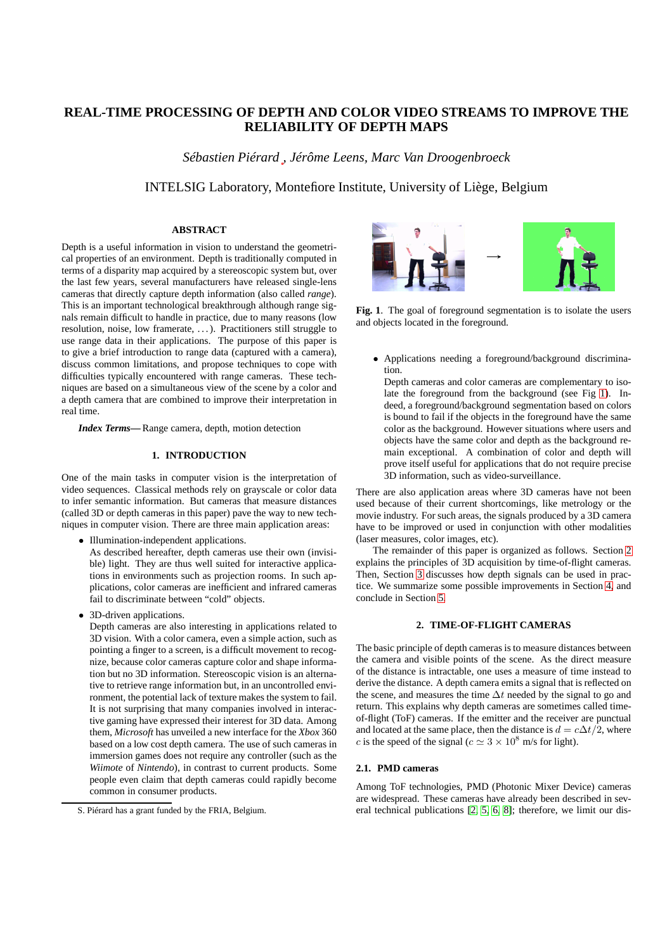# **REAL-TIME PROCESSING OF DEPTH AND COLOR VIDEO STREAMS TO IMPROVE THE RELIABILITY OF DEPTH MAPS**

*Sébastien Piérard , Jérôme Leens, Marc Van Droogenbroeck*

## INTELSIG Laboratory, Montefiore Institute, University of Liège, Belgium

### **ABSTRACT**

Depth is a useful information in vision to understand the geometrical properties of an environment. Depth is traditionally computed in terms of a disparity map acquired by a stereoscopic system but, over the last few years, several manufacturers have released single-lens cameras that directly capture depth information (also called *range*). This is an important technological breakthrough although range signals remain difficult to handle in practice, due to many reasons (low resolution, noise, low framerate, . . . ). Practitioners still struggle to use range data in their applications. The purpose of this paper is to give a brief introduction to range data (captured with a camera), discuss common limitations, and propose techniques to cope with difficulties typically encountered with range cameras. These techniques are based on a simultaneous view of the scene by a color and a depth camera that are combined to improve their interpretation in real time.

*Index Terms***—** Range camera, depth, motion detection

### **1. INTRODUCTION**

One of the main tasks in computer vision is the interpretation of video sequences. Classical methods rely on grayscale or color data to infer semantic information. But cameras that measure distances (called 3D or depth cameras in this paper) pave the way to new techniques in computer vision. There are three main application areas:

• Illumination-independent applications.

As described hereafter, depth cameras use their own (invisible) light. They are thus well suited for interactive applications in environments such as projection rooms. In such applications, color cameras are inefficient and infrared cameras fail to discriminate between "cold" objects.

• 3D-driven applications.

Depth cameras are also interesting in applications related to 3D vision. With a color camera, even a simple action, such as pointing a finger to a screen, is a difficult movement to recognize, because color cameras capture color and shape information but no 3D information. Stereoscopic vision is an alternative to retrieve range information but, in an uncontrolled environment, the potential lack of texture makes the system to fail. It is not surprising that many companies involved in interactive gaming have expressed their interest for 3D data. Among them, *Microsoft* has unveiled a new interface for the *Xbox* 360 based on a low cost depth camera. The use of such cameras in immersion games does not require any controller (such as the *Wiimote* of *Nintendo*), in contrast to current products. Some people even claim that depth cameras could rapidly become common in consumer products.



**Fig. 1**. The goal of foreground segmentation is to isolate the users and objects located in the foreground.

<span id="page-0-0"></span>• Applications needing a foreground/background discrimination.

Depth cameras and color cameras are complementary to isolate the foreground from the background (see Fig [1\)](#page-0-0). Indeed, a foreground/background segmentation based on colors is bound to fail if the objects in the foreground have the same color as the background. However situations where users and objects have the same color and depth as the background remain exceptional. A combination of color and depth will prove itself useful for applications that do not require precise 3D information, such as video-surveillance.

There are also application areas where 3D cameras have not been used because of their current shortcomings, like metrology or the movie industry. For such areas, the signals produced by a 3D camera have to be improved or used in conjunction with other modalities (laser measures, color images, etc).

The remainder of this paper is organized as follows. Section [2](#page-0-1) explains the principles of 3D acquisition by time-of-flight cameras. Then, Section [3](#page-2-0) discusses how depth signals can be used in practice. We summarize some possible improvements in Section [4,](#page-2-1) and conclude in Section [5.](#page-3-0)

### **2. TIME-OF-FLIGHT CAMERAS**

<span id="page-0-1"></span>The basic principle of depth cameras is to measure distances between the camera and visible points of the scene. As the direct measure of the distance is intractable, one uses a measure of time instead to derive the distance. A depth camera emits a signal that is reflected on the scene, and measures the time  $\Delta t$  needed by the signal to go and return. This explains why depth cameras are sometimes called timeof-flight (ToF) cameras. If the emitter and the receiver are punctual and located at the same place, then the distance is  $d = c\Delta t/2$ , where c is the speed of the signal ( $c \approx 3 \times 10^8$  m/s for light).

#### **2.1. PMD cameras**

Among ToF technologies, PMD (Photonic Mixer Device) cameras are widespread. These cameras have already been described in several technical publications [\[2,](#page-3-1) [5,](#page-3-2) [6,](#page-3-3) [8\]](#page-3-4); therefore, we limit our dis-

S. Piérard has a grant funded by the FRIA, Belgium.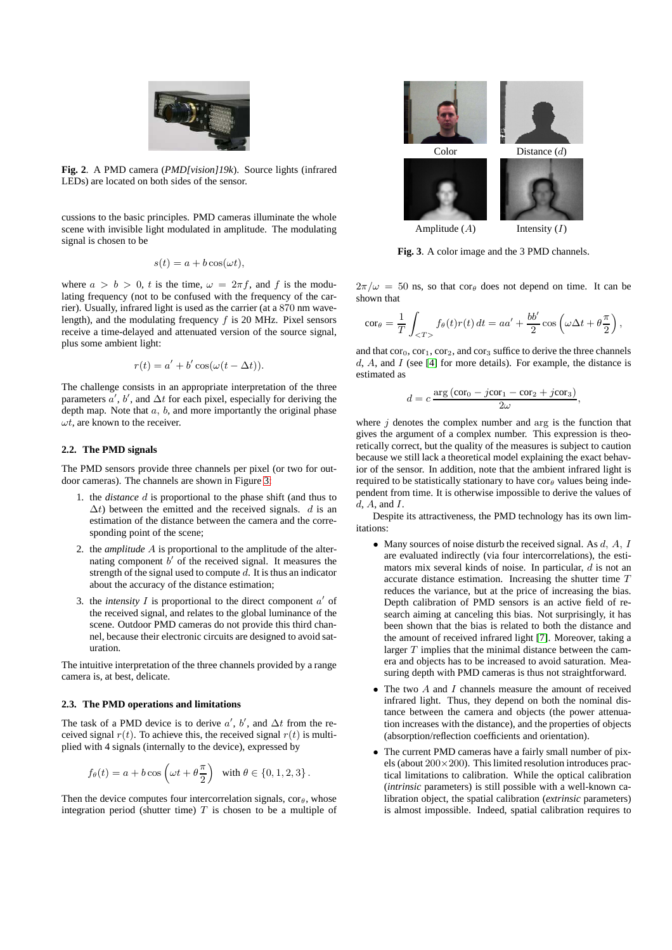

**Fig. 2**. A PMD camera (*PMD[vision]19k*). Source lights (infrared LEDs) are located on both sides of the sensor.

<span id="page-1-1"></span>cussions to the basic principles. PMD cameras illuminate the whole scene with invisible light modulated in amplitude. The modulating signal is chosen to be

$$
s(t) = a + b\cos(\omega t),
$$

where  $a > b > 0$ , t is the time,  $\omega = 2\pi f$ , and f is the modulating frequency (not to be confused with the frequency of the carrier). Usually, infrared light is used as the carrier (at a 870 nm wavelength), and the modulating frequency f is 20 MHz. Pixel sensors receive a time-delayed and attenuated version of the source signal, plus some ambient light:

$$
r(t) = a' + b' \cos(\omega(t - \Delta t)).
$$

The challenge consists in an appropriate interpretation of the three parameters  $\alpha'$ , b', and  $\Delta t$  for each pixel, especially for deriving the depth map. Note that  $a, b$ , and more importantly the original phase  $\omega t$ , are known to the receiver.

### **2.2. The PMD signals**

The PMD sensors provide three channels per pixel (or two for outdoor cameras). The channels are shown in Figure [3:](#page-1-0)

- 1. the *distance* d is proportional to the phase shift (and thus to  $\Delta t$ ) between the emitted and the received signals. d is an estimation of the distance between the camera and the corresponding point of the scene;
- 2. the *amplitude* A is proportional to the amplitude of the alternating component  $\overrightarrow{b}$  of the received signal. It measures the strength of the signal used to compute  $d$ . It is thus an indicator about the accuracy of the distance estimation;
- 3. the *intensity*  $I$  is proportional to the direct component  $a'$  of the received signal, and relates to the global luminance of the scene. Outdoor PMD cameras do not provide this third channel, because their electronic circuits are designed to avoid saturation.

The intuitive interpretation of the three channels provided by a range camera is, at best, delicate.

#### <span id="page-1-2"></span>**2.3. The PMD operations and limitations**

The task of a PMD device is to derive  $a'$ ,  $b'$ , and  $\Delta t$  from the received signal  $r(t)$ . To achieve this, the received signal  $r(t)$  is multiplied with 4 signals (internally to the device), expressed by

$$
f_{\theta}(t) = a + b \cos \left(\omega t + \theta \frac{\pi}{2}\right)
$$
 with  $\theta \in \{0, 1, 2, 3\}$ .

Then the device computes four intercorrelation signals,  $\cos\theta$ , whose integration period (shutter time)  $T$  is chosen to be a multiple of



**Fig. 3**. A color image and the 3 PMD channels.

<span id="page-1-0"></span> $2\pi/\omega = 50$  ns, so that cor<sub>θ</sub> does not depend on time. It can be shown that

$$
\mathrm{cor}_{\theta} = \frac{1}{T} \int_{} f_{\theta}(t) r(t) dt = aa' + \frac{bb'}{2} \cos \left( \omega \Delta t + \theta \frac{\pi}{2} \right),
$$

and that  $cor_0$ ,  $cor_1$ ,  $cor_2$ , and  $cor_3$  suffice to derive the three channels  $d, A$ , and I (see [\[4\]](#page-3-5) for more details). For example, the distance is estimated as

$$
d = c \frac{\arg\left(\cos \theta_0 - j \cos \theta_1 - \cos \theta_2 + j \cos \theta_2\right)}{2\omega},
$$

where  $j$  denotes the complex number and arg is the function that gives the argument of a complex number. This expression is theoretically correct, but the quality of the measures is subject to caution because we still lack a theoretical model explaining the exact behavior of the sensor. In addition, note that the ambient infrared light is required to be statistically stationary to have  $\text{cor}_{\theta}$  values being independent from time. It is otherwise impossible to derive the values of  $d$  A and I.

Despite its attractiveness, the PMD technology has its own limitations:

- Many sources of noise disturb the received signal. As  $d$ ,  $A$ ,  $I$ are evaluated indirectly (via four intercorrelations), the estimators mix several kinds of noise. In particular, d is not an accurate distance estimation. Increasing the shutter time T reduces the variance, but at the price of increasing the bias. Depth calibration of PMD sensors is an active field of research aiming at canceling this bias. Not surprisingly, it has been shown that the bias is related to both the distance and the amount of received infrared light [\[7\]](#page-3-6). Moreover, taking a larger  $T$  implies that the minimal distance between the camera and objects has to be increased to avoid saturation. Measuring depth with PMD cameras is thus not straightforward.
- The two  $\vec{A}$  and  $\vec{I}$  channels measure the amount of received infrared light. Thus, they depend on both the nominal distance between the camera and objects (the power attenuation increases with the distance), and the properties of objects (absorption/reflection coefficients and orientation).
- The current PMD cameras have a fairly small number of pixels (about  $200\times200$ ). This limited resolution introduces practical limitations to calibration. While the optical calibration (*intrinsic* parameters) is still possible with a well-known calibration object, the spatial calibration (*extrinsic* parameters) is almost impossible. Indeed, spatial calibration requires to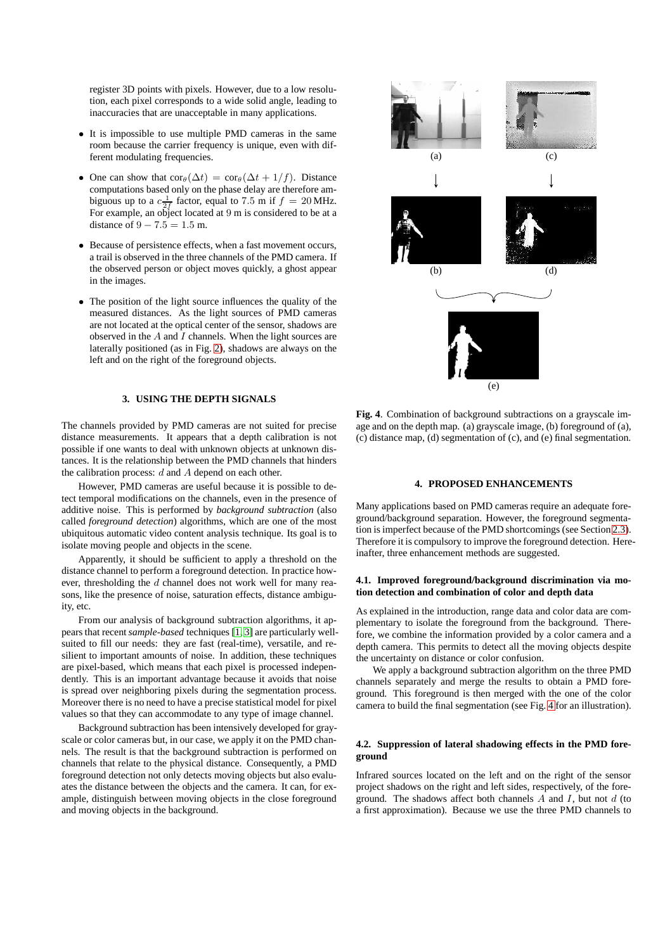register 3D points with pixels. However, due to a low resolution, each pixel corresponds to a wide solid angle, leading to inaccuracies that are unacceptable in many applications.

- It is impossible to use multiple PMD cameras in the same room because the carrier frequency is unique, even with different modulating frequencies.
- One can show that  $\text{cor}_{\theta}(\Delta t) = \text{cor}_{\theta}(\Delta t + 1/f)$ . Distance computations based only on the phase delay are therefore ambiguous up to a  $c \frac{1}{2f}$  factor, equal to 7.5 m if  $f = 20$  MHz. For example, an object located at 9 m is considered to be at a distance of  $9 - 7.5 = 1.5$  m.
- Because of persistence effects, when a fast movement occurs, a trail is observed in the three channels of the PMD camera. If the observed person or object moves quickly, a ghost appear in the images.
- The position of the light source influences the quality of the measured distances. As the light sources of PMD cameras are not located at the optical center of the sensor, shadows are observed in the  $A$  and  $I$  channels. When the light sources are laterally positioned (as in Fig. [2\)](#page-1-1), shadows are always on the left and on the right of the foreground objects.

### **3. USING THE DEPTH SIGNALS**

<span id="page-2-0"></span>The channels provided by PMD cameras are not suited for precise distance measurements. It appears that a depth calibration is not possible if one wants to deal with unknown objects at unknown distances. It is the relationship between the PMD channels that hinders the calibration process:  $d$  and  $A$  depend on each other.

However, PMD cameras are useful because it is possible to detect temporal modifications on the channels, even in the presence of additive noise. This is performed by *background subtraction* (also called *foreground detection*) algorithms, which are one of the most ubiquitous automatic video content analysis technique. Its goal is to isolate moving people and objects in the scene.

Apparently, it should be sufficient to apply a threshold on the distance channel to perform a foreground detection. In practice however, thresholding the d channel does not work well for many reasons, like the presence of noise, saturation effects, distance ambiguity, etc.

From our analysis of background subtraction algorithms, it appears that recent*sample-based* techniques [\[1,](#page-3-7) [3\]](#page-3-8) are particularly wellsuited to fill our needs: they are fast (real-time), versatile, and resilient to important amounts of noise. In addition, these techniques are pixel-based, which means that each pixel is processed independently. This is an important advantage because it avoids that noise is spread over neighboring pixels during the segmentation process. Moreover there is no need to have a precise statistical model for pixel values so that they can accommodate to any type of image channel.

Background subtraction has been intensively developed for grayscale or color cameras but, in our case, we apply it on the PMD channels. The result is that the background subtraction is performed on channels that relate to the physical distance. Consequently, a PMD foreground detection not only detects moving objects but also evaluates the distance between the objects and the camera. It can, for example, distinguish between moving objects in the close foreground and moving objects in the background.



<span id="page-2-2"></span>**Fig. 4**. Combination of background subtractions on a grayscale image and on the depth map. (a) grayscale image, (b) foreground of (a), (c) distance map, (d) segmentation of (c), and (e) final segmentation.

#### **4. PROPOSED ENHANCEMENTS**

<span id="page-2-1"></span>Many applications based on PMD cameras require an adequate foreground/background separation. However, the foreground segmentation is imperfect because of the PMD shortcomings (see Section [2.3\)](#page-1-2). Therefore it is compulsory to improve the foreground detection. Hereinafter, three enhancement methods are suggested.

### **4.1. Improved foreground/background discrimination via motion detection and combination of color and depth data**

As explained in the introduction, range data and color data are complementary to isolate the foreground from the background. Therefore, we combine the information provided by a color camera and a depth camera. This permits to detect all the moving objects despite the uncertainty on distance or color confusion.

We apply a background subtraction algorithm on the three PMD channels separately and merge the results to obtain a PMD foreground. This foreground is then merged with the one of the color camera to build the final segmentation (see Fig. [4](#page-2-2) for an illustration).

#### **4.2. Suppression of lateral shadowing effects in the PMD foreground**

Infrared sources located on the left and on the right of the sensor project shadows on the right and left sides, respectively, of the foreground. The shadows affect both channels  $\overline{A}$  and  $\overline{I}$ , but not  $\overline{d}$  (to a first approximation). Because we use the three PMD channels to